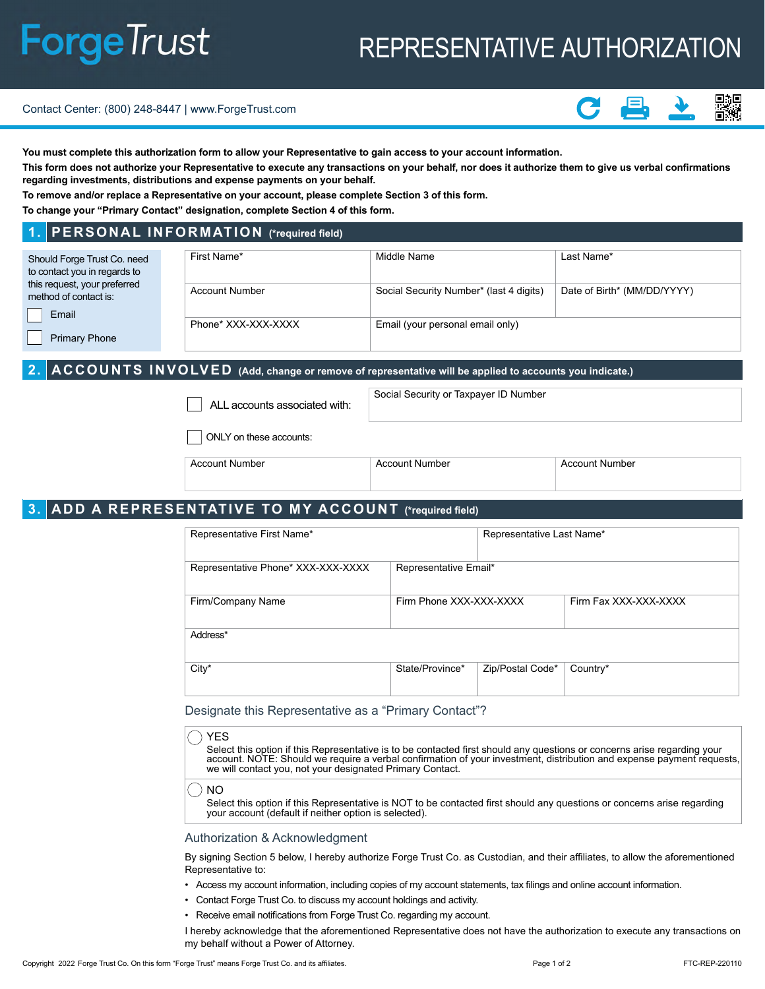# **ForgeTrust**

# REPRESENTATIVE AUTHORIZATION

#### Contact Center: (800) 248-8447 | www.ForgeTrust.com



**You must complete this authorization form to allow your Representative to gain access to your account information.**

**This form does not authorize your Representative to execute any transactions on your behalf, nor does it authorize them to give us verbal confirmations regarding investments, distributions and expense payments on your behalf.**

**To remove and/or replace a Representative on your account, please complete Section 3 of this form.**

**To change your "Primary Contact" designation, complete Section 4 of this form.** 

### **1. PERSONAL INFORMATION (\*required field)**

| Should Forge Trust Co. need  | First Name*           | Middle Name                             | Last Name*                  |  |
|------------------------------|-----------------------|-----------------------------------------|-----------------------------|--|
| to contact you in regards to |                       |                                         |                             |  |
|                              |                       |                                         |                             |  |
| this request, your preferred | <b>Account Number</b> | Social Security Number* (last 4 digits) | Date of Birth* (MM/DD/YYYY) |  |
| method of contact is:        |                       |                                         |                             |  |
| Email                        |                       |                                         |                             |  |
|                              | Phone* XXX-XXX-XXXX   | Email (your personal email only)        |                             |  |
| <b>Primary Phone</b>         |                       |                                         |                             |  |

# **2. ACCOUNTS INVOLVED (Add, change or remove of representative will be applied to accounts you indicate.)**

| ALL accounts associated with: |
|-------------------------------|
|-------------------------------|

Social Security or Taxpayer ID Number

ONLY on these accounts:

| . Number<br>วดunt<br>AC | ∩e' | Number<br>יוור |
|-------------------------|-----|----------------|
|                         |     |                |

# **3. ADD A REPRESENTATIVE TO MY ACCOUNT (\*required field)**

| Representative First Name*         |                         | Representative Last Name* |                       |
|------------------------------------|-------------------------|---------------------------|-----------------------|
| Representative Phone* XXX-XXX-XXXX | Representative Email*   |                           |                       |
| Firm/Company Name                  | Firm Phone XXX-XXX-XXXX |                           | Firm Fax XXX-XXX-XXXX |
| Address*                           |                         |                           |                       |
| City*                              | State/Province*         | Zip/Postal Code*          | Country*              |
|                                    |                         |                           |                       |

Designate this Representative as a "Primary Contact"?

|                                                           | $_{\alpha}$ ) YES $_{\alpha}$                                                                                                                                                                                                                     |
|-----------------------------------------------------------|---------------------------------------------------------------------------------------------------------------------------------------------------------------------------------------------------------------------------------------------------|
| we will contact you, not your designated Primary Contact. | Select this option if this Representative is to be contacted first should any questions or concerns arise regarding your<br>account. NOTE: Should we require a verbal confirmation of your investment, distribution and expense payment requests, |

#### NO

Select this option if this Representative is NOT to be contacted first should any questions or concerns arise regarding your account (default if neither option is selected).

#### Authorization & Acknowledgment

By signing Section 5 below, I hereby authorize Forge Trust Co. as Custodian, and their affiliates, to allow the aforementioned Representative to:

- Access my account information, including copies of my account statements, tax filings and online account information.
- Contact Forge Trust Co. to discuss my account holdings and activity.
- Receive email notifications from Forge Trust Co. regarding my account.

I hereby acknowledge that the aforementioned Representative does not have the authorization to execute any transactions on my behalf without a Power of Attorney.